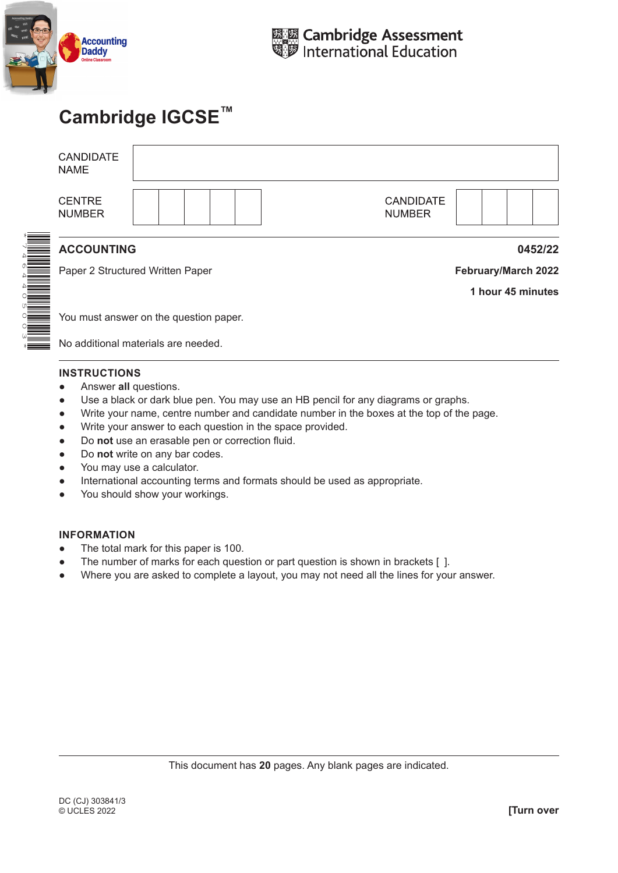



# **Cambridge IGCSE™**

| <b>CANDIDATE</b><br><b>NAME</b>  |  |                                   |
|----------------------------------|--|-----------------------------------|
| <b>CENTRE</b><br><b>NUMBER</b>   |  | <b>CANDIDATE</b><br><b>NUMBER</b> |
| <b>ACCOUNTING</b>                |  | 0452/22                           |
| Paper 2 Structured Written Paper |  | February/March 2022               |
|                                  |  | 1 hour 45 minutes                 |

You must answer on the question paper.

No additional materials are needed.

#### **INSTRUCTIONS**

- Answer **all** questions.
- Use a black or dark blue pen. You may use an HB pencil for any diagrams or graphs.
- Write your name, centre number and candidate number in the boxes at the top of the page.
- Write your answer to each question in the space provided.
- Do **not** use an erasable pen or correction fluid.
- Do **not** write on any bar codes.
- You may use a calculator.
- International accounting terms and formats should be used as appropriate.
- You should show your workings.

#### **INFORMATION**

- The total mark for this paper is 100.
- The number of marks for each question or part question is shown in brackets  $[ ]$ .
- Where you are asked to complete a layout, you may not need all the lines for your answer.

This document has **20** pages. Any blank pages are indicated.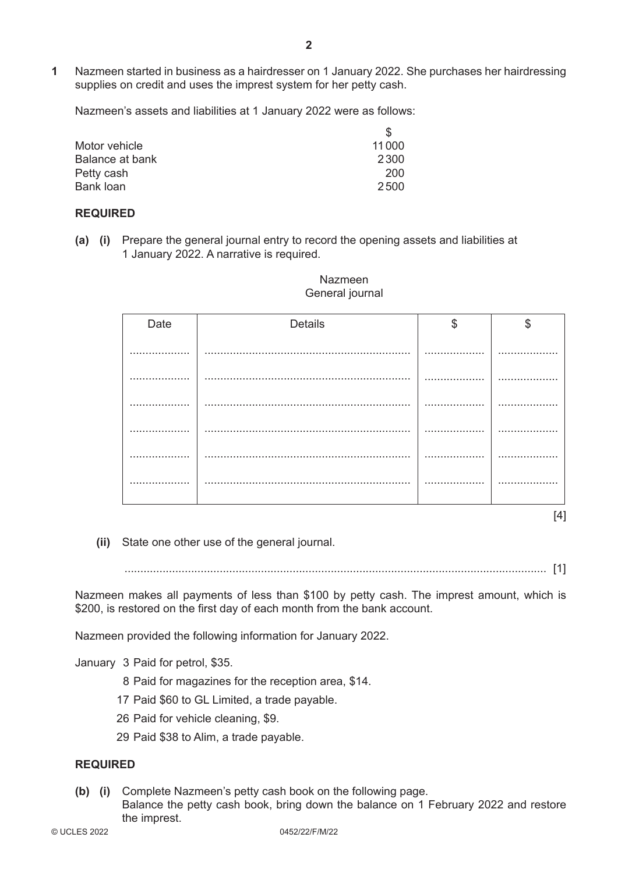**1** Nazmeen started in business as a hairdresser on 1 January 2022. She purchases her hairdressing supplies on credit and uses the imprest system for her petty cash.

Nazmeen's assets and liabilities at 1 January 2022 were as follows:

| Motor vehicle   | 11000 |
|-----------------|-------|
| Balance at bank | 2300  |
| Petty cash      | 200   |
| Bank loan       | 2500  |

#### **REQUIRED**

**(a) (i)** Prepare the general journal entry to record the opening assets and liabilities at 1 January 2022. A narrative is required.

| Date | Details |       |   |
|------|---------|-------|---|
| .    |         |       | . |
| .    |         |       |   |
|      | <br>    |       |   |
|      | <br>    | <br>  |   |
| .    | .<br>.  | .<br> |   |
| .    | .<br>.  | .<br> |   |
|      |         |       |   |

#### Nazmeen General journal

[4]

 **(ii)** State one other use of the general journal.

..................................................................................................................................... [1]

Nazmeen makes all payments of less than \$100 by petty cash. The imprest amount, which is \$200, is restored on the first day of each month from the bank account.

Nazmeen provided the following information for January 2022.

January 3 Paid for petrol, \$35.

- 8 Paid for magazines for the reception area, \$14.
- 17 Paid \$60 to GL Limited, a trade payable.
- 26 Paid for vehicle cleaning, \$9.
- 29 Paid \$38 to Alim, a trade payable.

#### **REQUIRED**

**(b) (i)** Complete Nazmeen's petty cash book on the following page. Balance the petty cash book, bring down the balance on 1 February 2022 and restore the imprest.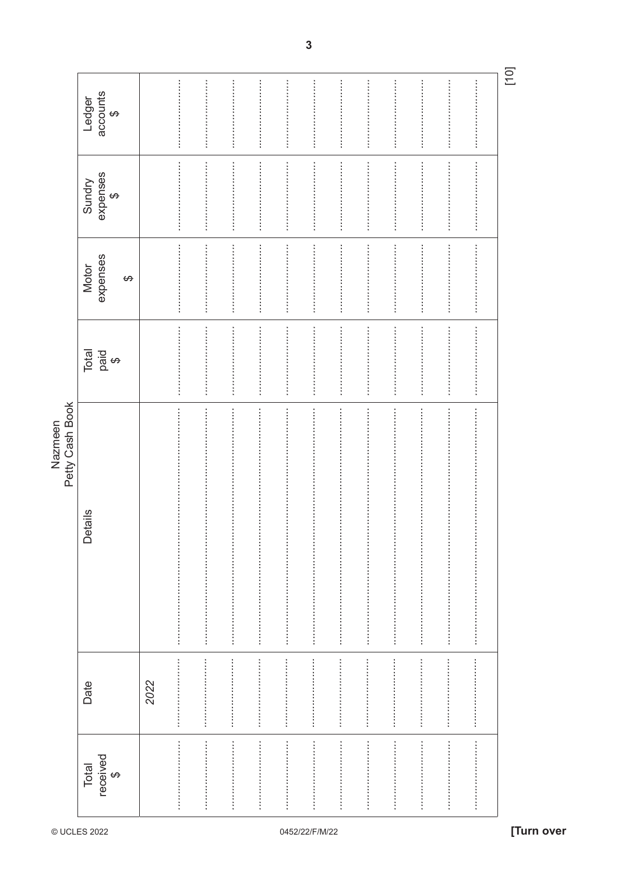|                            | Ledger<br>accounts<br>\$               |      | :<br>:<br>:<br>:     | $\vdots$                        | $\vdots$<br>:::::::::::         | $\vdots$     | $\vdots$                        | ,,,,,,,,,,,,,,,,,,,,,,,,             | $\vdots$                            |                                 | $\vdots$               | $\ddot{z}$<br>$\vdots$              |               |
|----------------------------|----------------------------------------|------|----------------------|---------------------------------|---------------------------------|--------------|---------------------------------|--------------------------------------|-------------------------------------|---------------------------------|------------------------|-------------------------------------|---------------|
|                            | Sundry<br>expenses<br>\$               |      |                      |                                 | :<br>:<br>:<br>:<br>            |              | :<br>:<br>:<br>:                | :<br>:<br>:<br>:<br>:<br>:<br>:<br>: |                                     |                                 |                        | <br>:<br>:<br>:<br>:                |               |
|                            | expenses<br>Motor<br>$\leftrightarrow$ |      | $\vdots$             |                                 | ::::::::::<br>:<br>:<br>:       | Ì            | ,,,,,,,,,,,,,,,,,,,,,,,         | ::::::::::<br>                       | :<br>:<br>:<br>:<br>j               | ļ                               | $\vdots$               | $\frac{1}{2}$<br>:<br>:<br>:<br>:   |               |
|                            | Total<br>paid<br>\$                    |      |                      |                                 |                                 |              | ,,,,,,,,,,,,,,,,,,,,,,,         | :<br>:<br>:<br>:                     |                                     | :::::::::                       |                        | <br>:<br>:<br>:<br>:                |               |
| Petty Cash Book<br>Nazmeen | Details                                |      | :<br>:<br>:          |                                 |                                 |              | i<br>:<br>:                     | :<br>:<br>:                          |                                     |                                 |                        | i                                   |               |
|                            | Date                                   | 2022 |                      | :::::::::::<br>:<br>:<br>:<br>: | :::::::::::<br>:<br>:<br>:<br>: |              | :::::::::::<br>:<br>:<br>:<br>: | $\vdots$                             | :<br>::::::::::<br>:<br>:<br>:<br>: | :::::::::::<br>:<br>:<br>:<br>: | $\vdots$<br>$\ddot{}}$ | :<br>::::::::::<br>:<br>:<br>:<br>: | ļ<br>$\vdots$ |
|                            | Total<br>received<br>\$                |      | <br>:<br>:<br>:<br>: |                                 | :<br>:<br>:<br>:                | :::::::::::: | ,,,,,,,,,,,,,,,,,,,,,,,,,       | ::::::::::::                         | :<br>:<br>:                         | <br>::::::                      | $\vdots$               | :<br>:<br>:<br>:                    | $\vdots$      |

0452/22/F/M/22

[Turn over

 $\frac{1}{2}$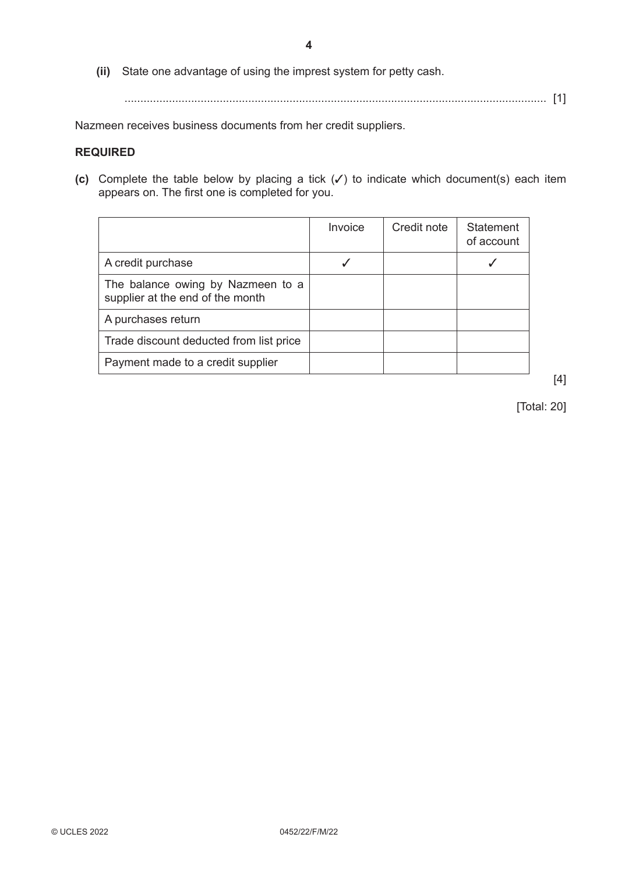**(ii)** State one advantage of using the imprest system for petty cash.

..................................................................................................................................... [1]

Nazmeen receives business documents from her credit suppliers.

#### **REQUIRED**

(c) Complete the table below by placing a tick  $(\checkmark)$  to indicate which document(s) each item appears on. The first one is completed for you.

|                                                                       | Invoice | Credit note | Statement<br>of account |
|-----------------------------------------------------------------------|---------|-------------|-------------------------|
| A credit purchase                                                     |         |             |                         |
| The balance owing by Nazmeen to a<br>supplier at the end of the month |         |             |                         |
| A purchases return                                                    |         |             |                         |
| Trade discount deducted from list price                               |         |             |                         |
| Payment made to a credit supplier                                     |         |             |                         |

[4]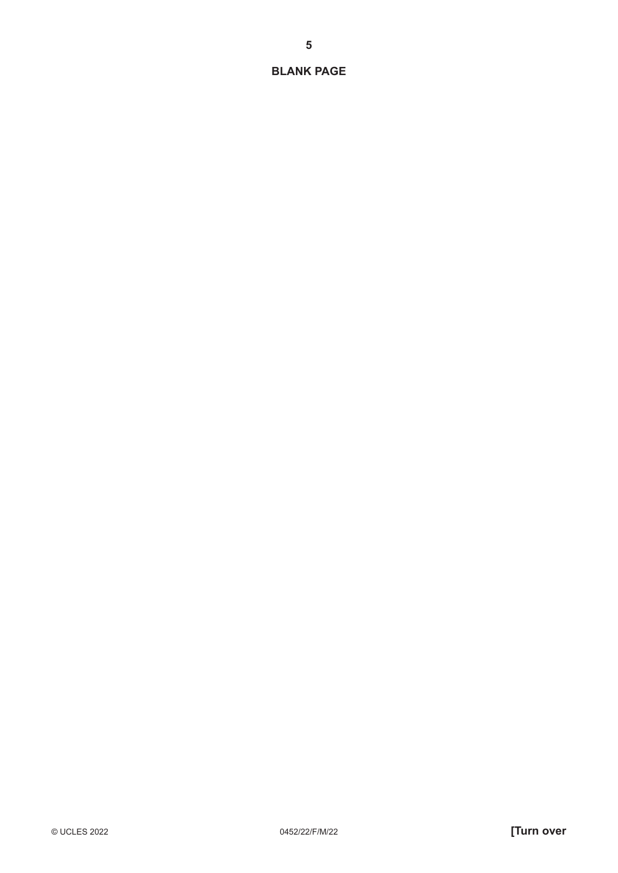## **BLANK PAGE**

 $5\phantom{a}$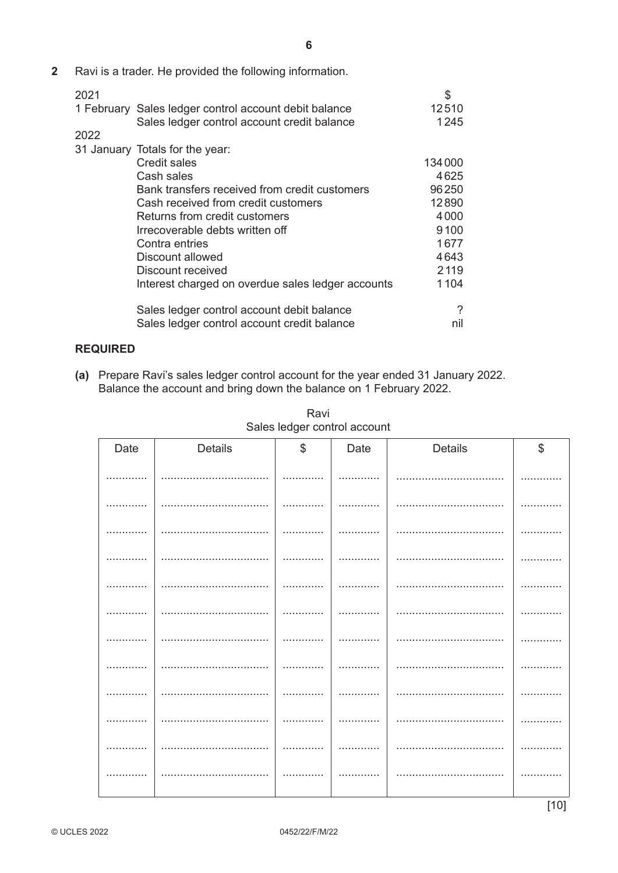**2** Ravi is a trader. He provided the following information.

| 2021 |                                                       | \$      |
|------|-------------------------------------------------------|---------|
|      | 1 February Sales ledger control account debit balance | 12510   |
|      | Sales ledger control account credit balance           | 1245    |
| 2022 |                                                       |         |
|      | 31 January Totals for the year:                       |         |
|      | Credit sales                                          | 134 000 |
|      | Cash sales                                            | 4625    |
|      | Bank transfers received from credit customers         | 96250   |
|      | Cash received from credit customers                   | 12890   |
|      | Returns from credit customers                         | 4000    |
|      | Irrecoverable debts written off                       | 9100    |
|      | Contra entries                                        | 1677    |
|      | Discount allowed                                      | 4643    |
|      | Discount received                                     | 2119    |
|      | Interest charged on overdue sales ledger accounts     | 1104    |
|      | Sales ledger control account debit balance            |         |
|      | Sales ledger control account credit balance           | nil     |

## **REQUIRED**

**(a)** Prepare Ravi's sales ledger control account for the year ended 31 January 2022. Balance the account and bring down the balance on 1 February 2022.

| Date | Details | $\frac{1}{2}$ | Date | Details | \$ |
|------|---------|---------------|------|---------|----|
|      |         |               |      |         |    |
|      |         |               |      |         |    |
|      |         |               |      |         |    |
|      |         |               |      |         |    |
| .    | .       | .             | .    | .       |    |
|      |         |               | .    |         |    |
|      |         |               |      |         |    |
|      |         |               |      |         |    |
|      |         |               |      |         |    |
|      |         |               |      |         |    |
|      |         |               |      | .       |    |
|      |         |               |      |         |    |

ravis and the contract of the contract of the Ravis Ravis of the Ravis State of the Ravis State of the Ravis S Sales ledger control account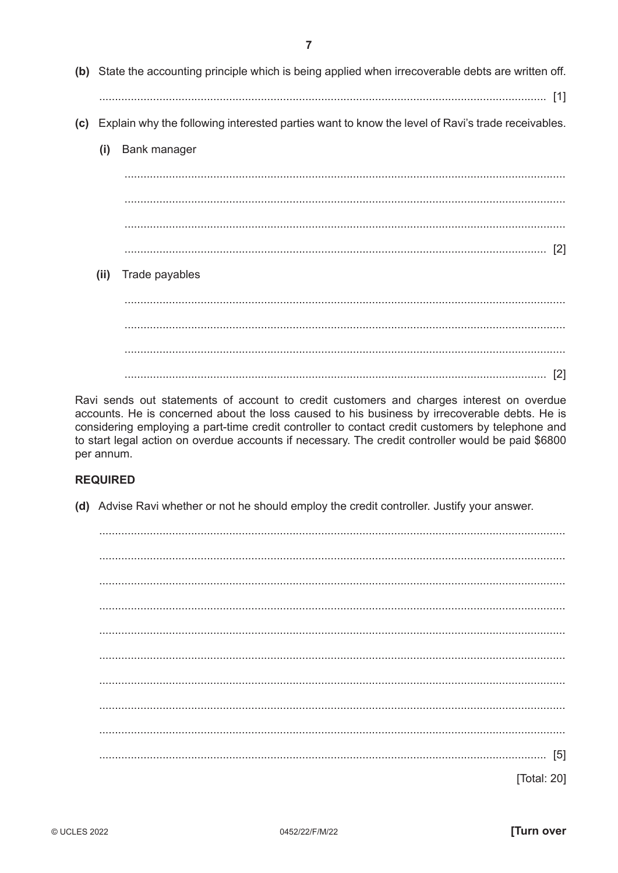(b) State the accounting principle which is being applied when irrecoverable debts are written off. (c) Explain why the following interested parties want to know the level of Ravi's trade receivables. (i) Bank manager  $(ii)$ Trade payables 

Ravi sends out statements of account to credit customers and charges interest on overdue accounts. He is concerned about the loss caused to his business by irrecoverable debts. He is considering employing a part-time credit controller to contact credit customers by telephone and to start legal action on overdue accounts if necessary. The credit controller would be paid \$6800 per annum.

#### **REQUIRED**

(d) Advise Ravi whether or not he should employ the credit controller. Justify your answer.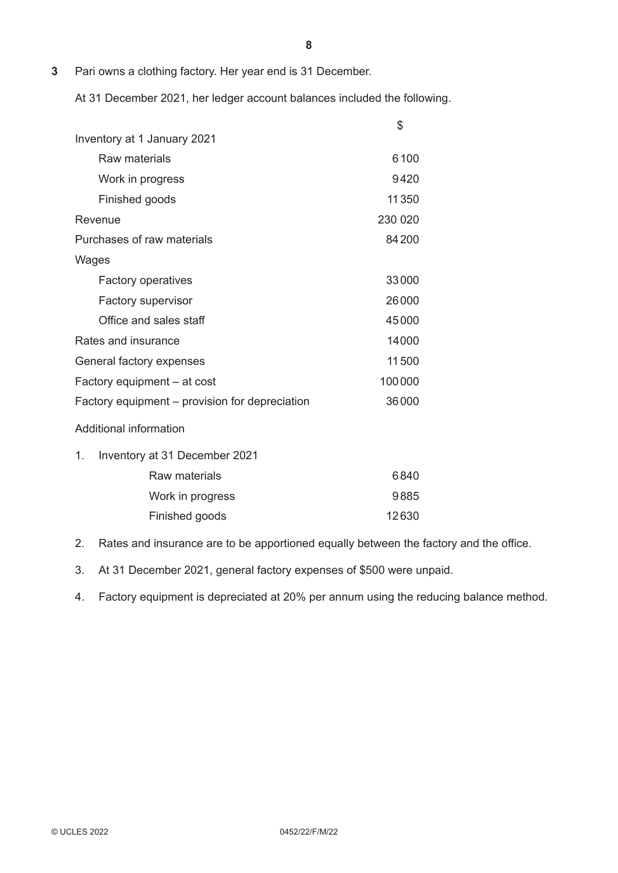**3** Pari owns a clothing factory. Her year end is 31 December.

At 31 December 2021, her ledger account balances included the following.

|                                                | \$      |
|------------------------------------------------|---------|
| Inventory at 1 January 2021                    |         |
| Raw materials                                  | 6100    |
| Work in progress                               | 9420    |
| Finished goods                                 | 11350   |
| Revenue                                        | 230 020 |
| Purchases of raw materials                     | 84200   |
| Wages                                          |         |
| <b>Factory operatives</b>                      | 33000   |
| Factory supervisor                             | 26000   |
| Office and sales staff                         | 45000   |
| Rates and insurance                            | 14000   |
| General factory expenses                       | 11500   |
| Factory equipment - at cost                    | 100000  |
| Factory equipment – provision for depreciation | 36000   |
| Additional information                         |         |
| 1.<br>Inventory at 31 December 2021            |         |
| Raw materials                                  | 6840    |
| Work in progress                               | 9885    |
| Finished goods                                 | 12630   |
|                                                |         |

- 2. Rates and insurance are to be apportioned equally between the factory and the office.
- 3. At 31 December 2021, general factory expenses of \$500 were unpaid.
- 4. Factory equipment is depreciated at 20% per annum using the reducing balance method.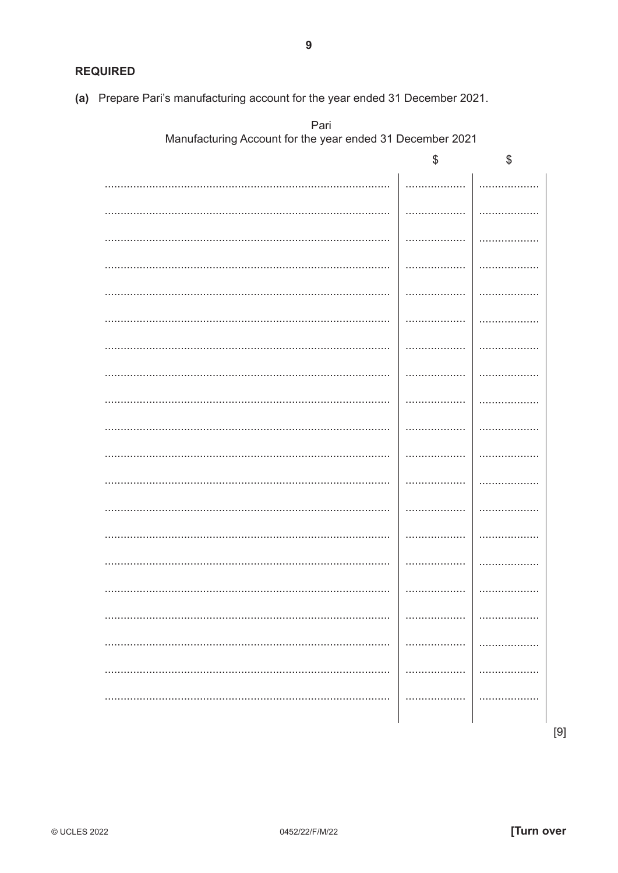(a) Prepare Pari's manufacturing account for the year ended 31 December 2021.

Manufacturing Account for the year ended 31 December 2021  $\mathfrak{S}$  $\mathfrak{S}$ . . . . . . . . . . . . . . . . . . . . . . . . . . . . . . . . . . . . . . . . . . . . . . . . . . . . . . . . . . . . . . . . . . . . . . . . . . . . . . . . . . . . . . . . . . . . . . . . . . . . . . . . . . . . . . . . . . . . . . . . . . . . . . . . . . . . . . . . . . . . . . . . . . . . . . . . . . . . . . . . . . . . . . . . . . . . . . . . . . . . . . . . . . . . . . . . . . . . . . . . . . . . . . . . . . . . . . . . . . . . . . . . . . . . . . . . . . . . . . . . . . . . . . . . . . . . . . . . . . . . . . . . . . . . . . . . . . . . . . . . . . . . . . . . . . . . . . . . . . . . . . . . . . . . . . . . . . . . . . . . . . . . . . . . . . . . . . . . . . . . . . . . . . . . . . . . . . . . . . . . . . . . . . . . . . . . . . . . . . . . . . . . . . . . . . . . . . . . . . . . . . . . . . . . . . . .  $\ddotsc$ . . . . . . . . . . . . . . . . . . . . . . . . . . . . . . . . . . . . . . . . . . . . . . . . . . . . . . . . . . . . . . . . . . . . . . . . . . . . . . . . . . . . . . . . . . . . . . . . . . . . . . . . . . . . . . . . . . . . . . . . . . . . . . . . . . . . . . . . . . . . . . . . . . . . . . . . . . . . . . . . . . . . . . . . . . . . . . . . . . . . . . . . . . . . . . . . . . . . . . . . . . . . . . . . . . . . . . . . . . . . . . . . . . . . . . . . . . .

Pari

 $[9]$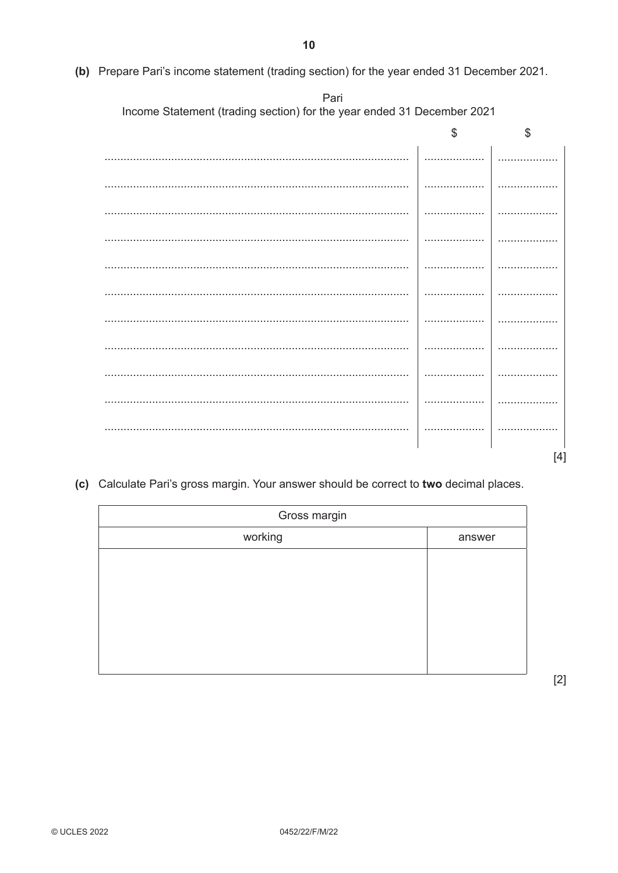(b) Prepare Pari's income statement (trading section) for the year ended 31 December 2021.

Pari Income Statement (trading section) for the year ended 31 December 2021

|          | \$ | \$    |
|----------|----|-------|
|          |    |       |
|          | .  |       |
|          |    |       |
|          |    |       |
|          |    |       |
|          |    |       |
| $\cdots$ | .  |       |
| 1.1.1    |    |       |
|          |    |       |
|          |    |       |
| 1.1.1    | .  |       |
|          |    | $[4]$ |

(c) Calculate Pari's gross margin. Your answer should be correct to two decimal places.

| Gross margin |        |  |  |  |
|--------------|--------|--|--|--|
| working      | answer |  |  |  |
|              |        |  |  |  |
|              |        |  |  |  |
|              |        |  |  |  |
|              |        |  |  |  |
|              |        |  |  |  |
|              |        |  |  |  |

 $[2]$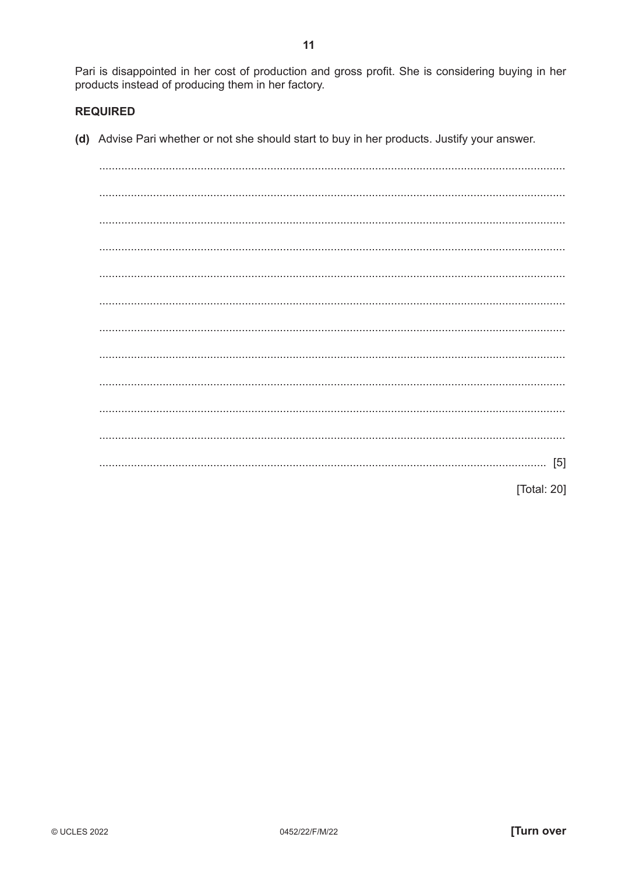Pari is disappointed in her cost of production and gross profit. She is considering buying in her products instead of producing them in her factory.

## **REQUIRED**

(d) Advise Pari whether or not she should start to buy in her products. Justify your answer.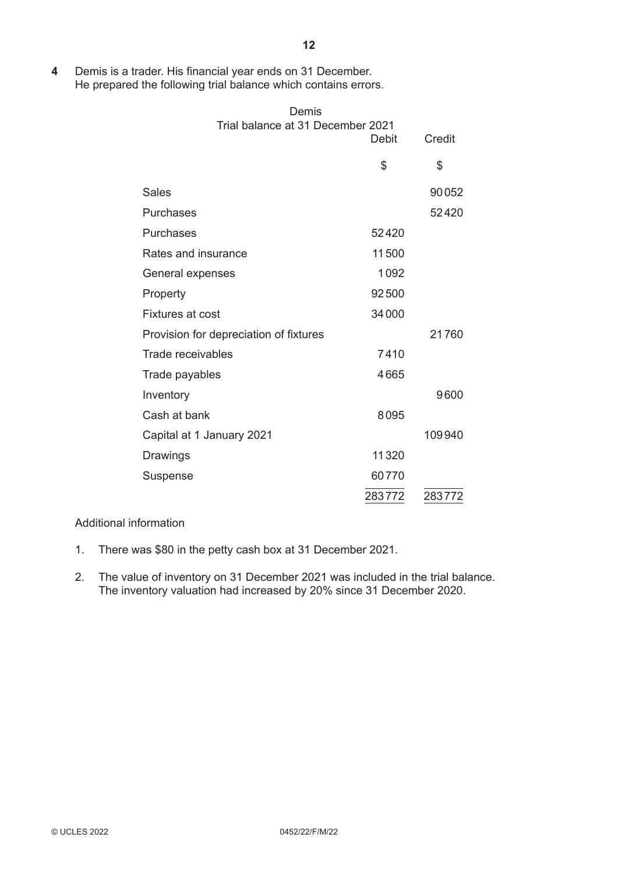**4** Demis is a trader. His financial year ends on 31 December. He prepared the following trial balance which contains errors.

| Demis<br>Trial balance at 31 December 2021 |        |        |
|--------------------------------------------|--------|--------|
|                                            | Debit  | Credit |
|                                            | \$     | \$     |
| <b>Sales</b>                               |        | 90052  |
| <b>Purchases</b>                           |        | 52420  |
| Purchases                                  | 52420  |        |
| Rates and insurance                        | 11500  |        |
| General expenses                           | 1092   |        |
| Property                                   | 92500  |        |
| <b>Fixtures at cost</b>                    | 34000  |        |
| Provision for depreciation of fixtures     |        | 21760  |
| Trade receivables                          | 7410   |        |
| Trade payables                             | 4665   |        |
| Inventory                                  |        | 9600   |
| Cash at bank                               | 8095   |        |
| Capital at 1 January 2021                  |        | 109940 |
| Drawings                                   | 11320  |        |
| Suspense                                   | 60770  |        |
|                                            | 283772 | 283772 |

Additional information

- 1. There was \$80 in the petty cash box at 31 December 2021.
- 2. The value of inventory on 31 December 2021 was included in the trial balance. The inventory valuation had increased by 20% since 31 December 2020.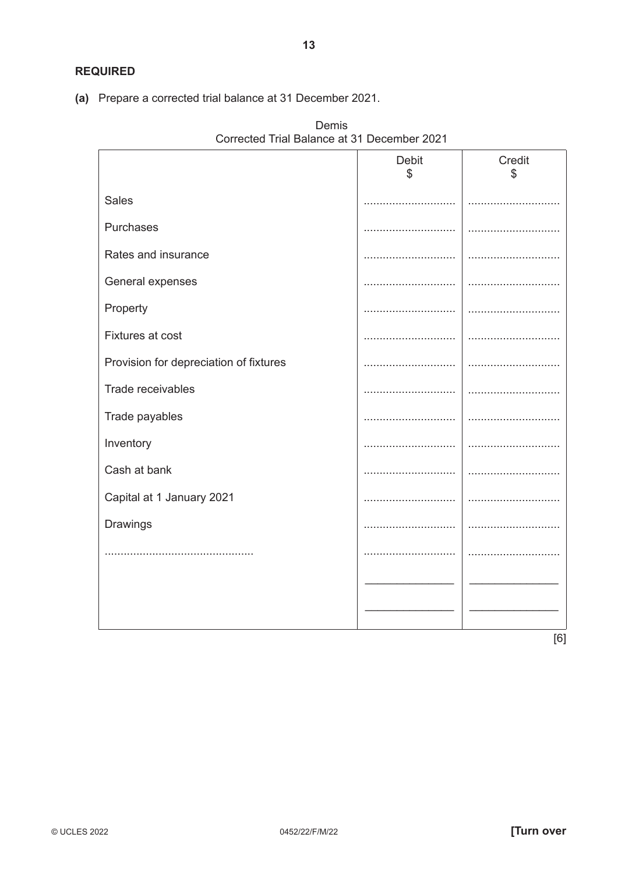(a) Prepare a corrected trial balance at 31 December 2021.

| Corrected Trial Balance at 31 December 2021 |                               |              |  |
|---------------------------------------------|-------------------------------|--------------|--|
|                                             | <b>Debit</b><br>$\mathcal{L}$ | Credit<br>\$ |  |
| <b>Sales</b>                                |                               |              |  |
| Purchases                                   |                               |              |  |
| Rates and insurance                         |                               |              |  |
| General expenses                            |                               |              |  |
| Property                                    |                               |              |  |
| Fixtures at cost                            |                               |              |  |
| Provision for depreciation of fixtures      |                               |              |  |
| Trade receivables                           | .                             |              |  |
| Trade payables                              |                               |              |  |
| Inventory                                   |                               |              |  |
| Cash at bank                                |                               |              |  |
| Capital at 1 January 2021                   |                               |              |  |
| Drawings                                    |                               |              |  |
|                                             |                               |              |  |
|                                             |                               |              |  |
|                                             |                               |              |  |
|                                             |                               |              |  |

Demis<br>Corrected Trial Relance at 31 December 2021

 $[6]$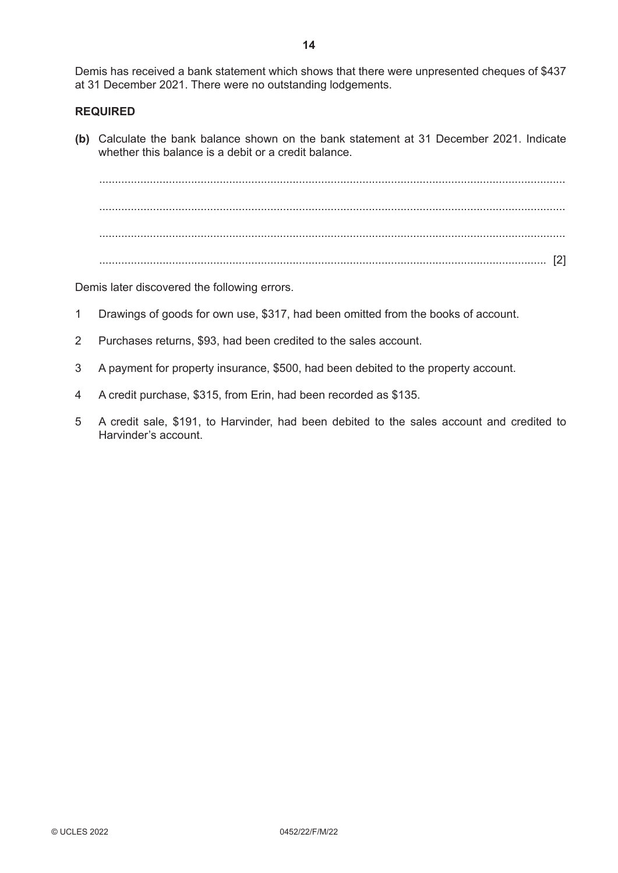Demis has received a bank statement which shows that there were unpresented cheques of \$437 at 31 December 2021. There were no outstanding lodgements.

#### **REQUIRED**

**(b)** Calculate the bank balance shown on the bank statement at 31 December 2021. Indicate whether this balance is a debit or a credit balance.

................................................................................................................................................... ................................................................................................................................................... ................................................................................................................................................... ............................................................................................................................................. [2]

Demis later discovered the following errors.

- 1 Drawings of goods for own use, \$317, had been omitted from the books of account.
- 2 Purchases returns, \$93, had been credited to the sales account.
- 3 A payment for property insurance, \$500, had been debited to the property account.
- 4 A credit purchase, \$315, from Erin, had been recorded as \$135.
- 5 A credit sale, \$191, to Harvinder, had been debited to the sales account and credited to Harvinder's account.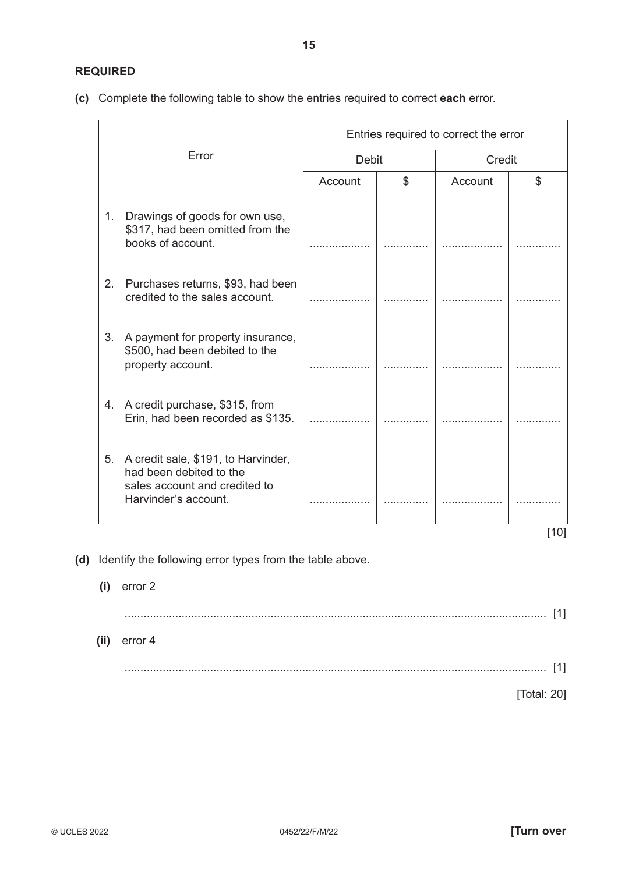**(c)** Complete the following table to show the entries required to correct **each** error.

|    |                                                                                                                            | Entries required to correct the error |    |         |    |
|----|----------------------------------------------------------------------------------------------------------------------------|---------------------------------------|----|---------|----|
|    | Error                                                                                                                      | <b>Debit</b><br>Credit                |    |         |    |
|    |                                                                                                                            | Account                               | \$ | Account | \$ |
| 1. | Drawings of goods for own use,<br>\$317, had been omitted from the<br>books of account.                                    |                                       |    |         |    |
|    | 2. Purchases returns, \$93, had been<br>credited to the sales account.                                                     |                                       |    |         |    |
| 3. | A payment for property insurance,<br>\$500, had been debited to the<br>property account.                                   |                                       |    |         |    |
|    | 4. A credit purchase, \$315, from<br>Erin, had been recorded as \$135.                                                     |                                       |    |         |    |
|    | 5. A credit sale, \$191, to Harvinder,<br>had been debited to the<br>sales account and credited to<br>Harvinder's account. |                                       |    |         |    |

[10]

- **(d)** Identify the following error types from the table above.
	- **(i)** error 2 ..................................................................................................................................... [1]  **(ii)** error 4 ..................................................................................................................................... [1]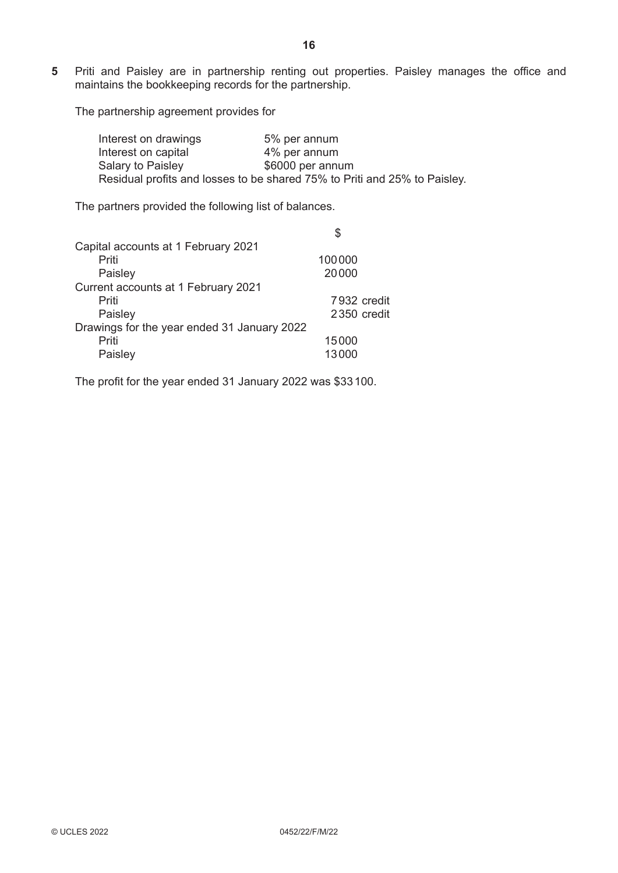**5** Priti and Paisley are in partnership renting out properties. Paisley manages the office and maintains the bookkeeping records for the partnership.

The partnership agreement provides for

| Interest on drawings | 5% per annum                                                              |
|----------------------|---------------------------------------------------------------------------|
| Interest on capital  | 4% per annum                                                              |
| Salary to Paisley    | \$6000 per annum                                                          |
|                      | Residual profits and losses to be shared 75% to Priti and 25% to Paisley. |

The partners provided the following list of balances.

| Capital accounts at 1 February 2021         |             |  |
|---------------------------------------------|-------------|--|
| Priti                                       | 100000      |  |
| Paisley                                     | 20000       |  |
| Current accounts at 1 February 2021         |             |  |
| Priti                                       | 7932 credit |  |
| Paisley                                     | 2350 credit |  |
| Drawings for the year ended 31 January 2022 |             |  |
| Priti                                       | 15000       |  |
| Paisley                                     | 13000       |  |
|                                             |             |  |

The profit for the year ended 31 January 2022 was \$33100.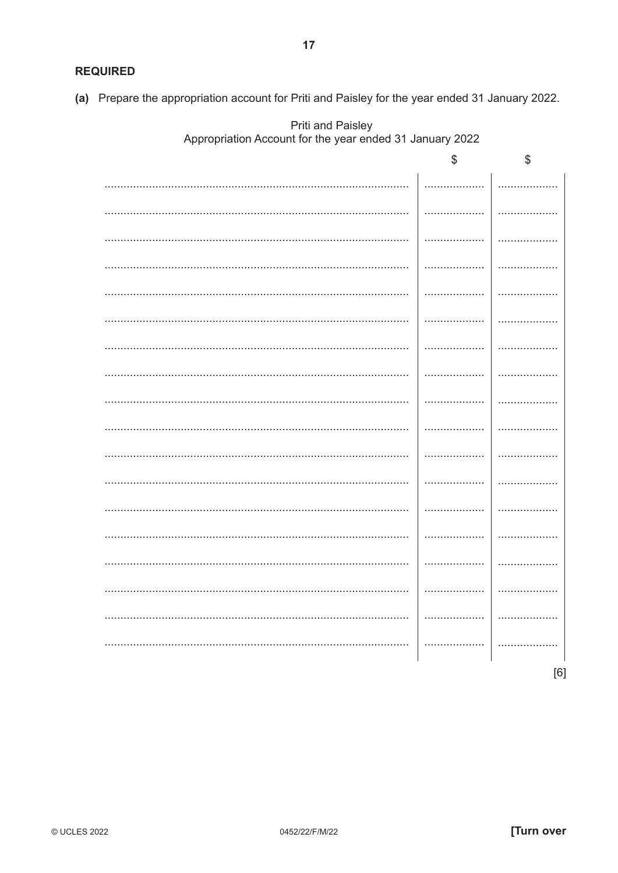(a) Prepare the appropriation account for Priti and Paisley for the year ended 31 January 2022.

 $17$ 

|              | $\frac{1}{2}$ | $\boldsymbol{\mathsf{\$}}$ |
|--------------|---------------|----------------------------|
| .            |               |                            |
| .            | .             | .                          |
| .            | .<br>.        |                            |
| .<br>        | .<br>         | .                          |
|              |               |                            |
|              |               |                            |
|              |               |                            |
|              | .             |                            |
| .            | .             |                            |
|              | .             |                            |
| .<br>1.1.1.1 | 1.1.1.1       |                            |
|              |               |                            |
| <br>         |               | .                          |
|              |               |                            |
|              |               |                            |
| $\cdots$     |               |                            |
| .            | $\cdots$      |                            |
|              | .             |                            |
|              |               | [6]                        |

Priti and Paisley Appropriation Account for the year ended 31 January 2022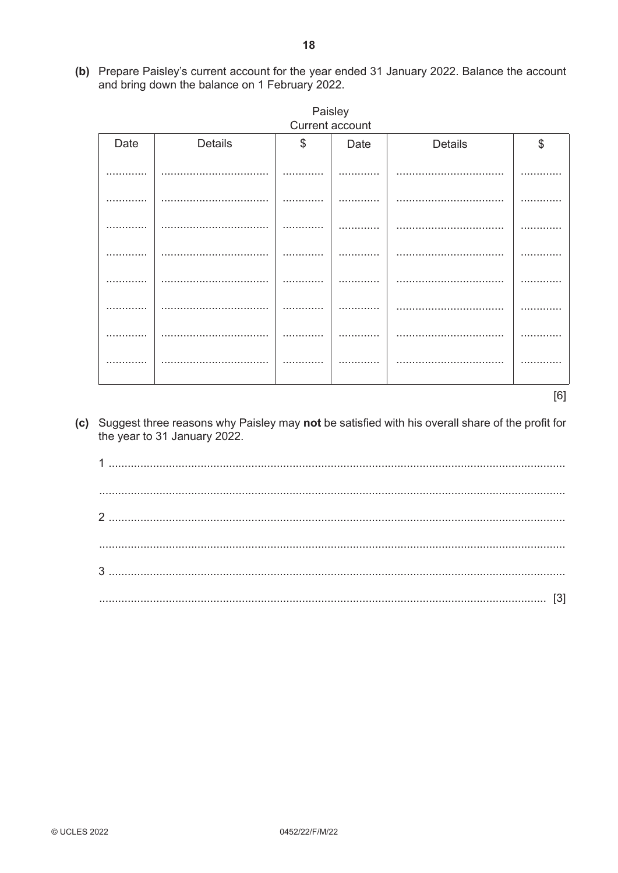(b) Prepare Paisley's current account for the year ended 31 January 2022. Balance the account and bring down the balance on 1 February 2022.

|      |                          | Current account |      |         |               |
|------|--------------------------|-----------------|------|---------|---------------|
| Date | Details                  | \$              | Date | Details | $\mathcal{L}$ |
|      |                          |                 |      |         |               |
|      |                          | .               |      |         |               |
|      |                          |                 |      |         |               |
|      |                          |                 |      |         |               |
|      |                          |                 |      |         |               |
|      |                          |                 |      |         |               |
|      |                          |                 |      |         |               |
|      |                          |                 |      |         |               |
|      |                          |                 |      |         |               |
| .    | $\sim$ $\sim$ $\sim$<br> | . .<br>.        | .    |         | .             |
|      |                          |                 |      |         |               |
| .    |                          | . .             | .    |         | .             |
|      |                          |                 |      |         |               |
|      |                          |                 |      |         |               |
|      |                          |                 |      |         |               |
|      |                          |                 |      |         |               |
|      |                          |                 |      |         |               |
|      |                          |                 |      |         |               |

Paisley

- $[6]$
- (c) Suggest three reasons why Paisley may not be satisfied with his overall share of the profit for the year to 31 January 2022.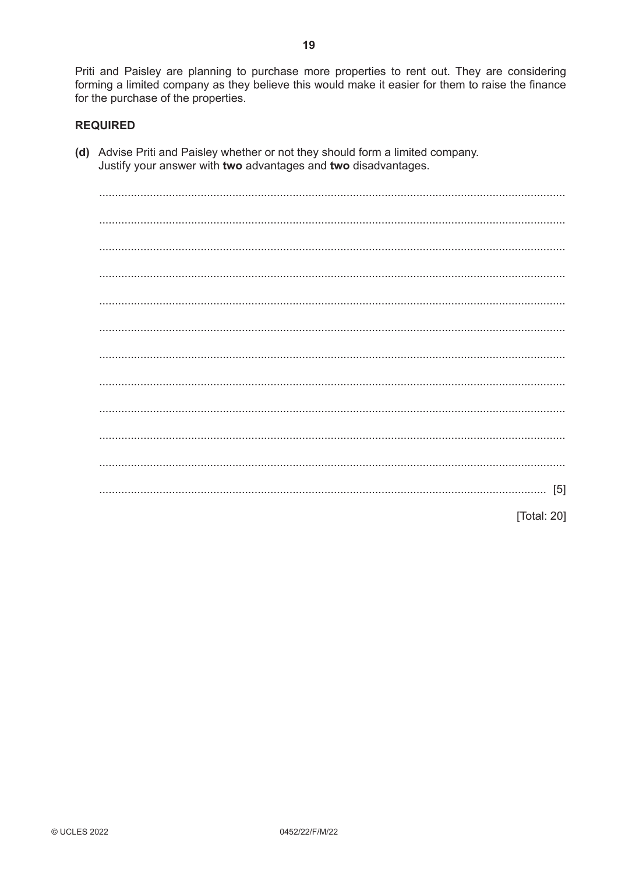Priti and Paisley are planning to purchase more properties to rent out. They are considering forming a limited company as they believe this would make it easier for them to raise the finance for the purchase of the properties.

#### **REQUIRED**

(d) Advise Priti and Paisley whether or not they should form a limited company. Justify your answer with two advantages and two disadvantages.

| [Total: 20] |
|-------------|